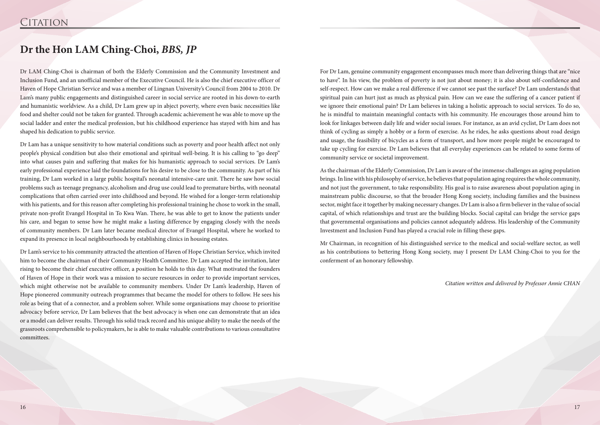Dr LAM Ching-Choi is chairman of both the Elderly Commission and the Community Investment and Inclusion Fund, and an unofficial member of the Executive Council. He is also the chief executive officer of Haven of Hope Christian Service and was a member of Lingnan University's Council from 2004 to 2010. Dr Lam's many public engagements and distinguished career in social service are rooted in his down-to-earth and humanistic worldview. As a child, Dr Lam grew up in abject poverty, where even basic necessities like food and shelter could not be taken for granted. Through academic achievement he was able to move up the social ladder and enter the medical profession, but his childhood experience has stayed with him and has shaped his dedication to public service.

Dr Lam has a unique sensitivity to how material conditions such as poverty and poor health affect not only people's physical condition but also their emotional and spiritual well-being. It is his calling to "go deep" into what causes pain and suffering that makes for his humanistic approach to social services. Dr Lam's early professional experience laid the foundations for his desire to be close to the community. As part of his training, Dr Lam worked in a large public hospital's neonatal intensive-care unit. There he saw how social problems such as teenage pregnancy, alcoholism and drug use could lead to premature births, with neonatal complications that often carried over into childhood and beyond. He wished for a longer-term relationship with his patients, and for this reason after completing his professional training he chose to work in the small, private non-profit Evangel Hospital in To Kwa Wan. There, he was able to get to know the patients under his care, and began to sense how he might make a lasting difference by engaging closely with the needs of community members. Dr Lam later became medical director of Evangel Hospital, where he worked to expand its presence in local neighbourhoods by establishing clinics in housing estates.

Dr Lam's service to his community attracted the attention of Haven of Hope Christian Service, which invited him to become the chairman of their Community Health Committee. Dr Lam accepted the invitation, later rising to become their chief executive officer, a position he holds to this day. What motivated the founders of Haven of Hope in their work was a mission to secure resources in order to provide important services, which might otherwise not be available to community members. Under Dr Lam's leadership, Haven of Hope pioneered community outreach programmes that became the model for others to follow. He sees his role as being that of a connector, and a problem solver. While some organisations may choose to prioritise advocacy before service, Dr Lam believes that the best advocacy is when one can demonstrate that an idea or a model can deliver results. Through his solid track record and his unique ability to make the needs of the grassroots comprehensible to policymakers, he is able to make valuable contributions to various consultative committees.

## **Dr the Hon LAM Ching-Choi,** *BBS, JP*

For Dr Lam, genuine community engagement encompasses much more than delivering things that are "nice to have". In his view, the problem of poverty is not just about money; it is also about self-confidence and self-respect. How can we make a real difference if we cannot see past the surface? Dr Lam understands that spiritual pain can hurt just as much as physical pain. How can we ease the suffering of a cancer patient if we ignore their emotional pain? Dr Lam believes in taking a holistic approach to social services. To do so, he is mindful to maintain meaningful contacts with his community. He encourages those around him to look for linkages between daily life and wider social issues. For instance, as an avid cyclist, Dr Lam does not think of cycling as simply a hobby or a form of exercise. As he rides, he asks questions about road design and usage, the feasibility of bicycles as a form of transport, and how more people might be encouraged to take up cycling for exercise. Dr Lam believes that all everyday experiences can be related to some forms of community service or societal improvement.

As the chairman of the Elderly Commission, Dr Lam is aware of the immense challenges an aging population brings. In line with his philosophy of service, he believes that population aging requires the whole community, and not just the government, to take responsibility. His goal is to raise awareness about population aging in mainstream public discourse, so that the broader Hong Kong society, including families and the business sector, might face it together by making necessary changes. Dr Lam is also a firm believer in the value of social capital, of which relationships and trust are the building blocks. Social capital can bridge the service gaps that governmental organisations and policies cannot adequately address. His leadership of the Community Investment and Inclusion Fund has played a crucial role in filling these gaps.

Mr Chairman, in recognition of his distinguished service to the medical and social-welfare sector, as well as his contributions to bettering Hong Kong society, may I present Dr LAM Ching-Choi to you for the conferment of an honorary fellowship.

*Citation written and delivered by Professor Annie CHAN*